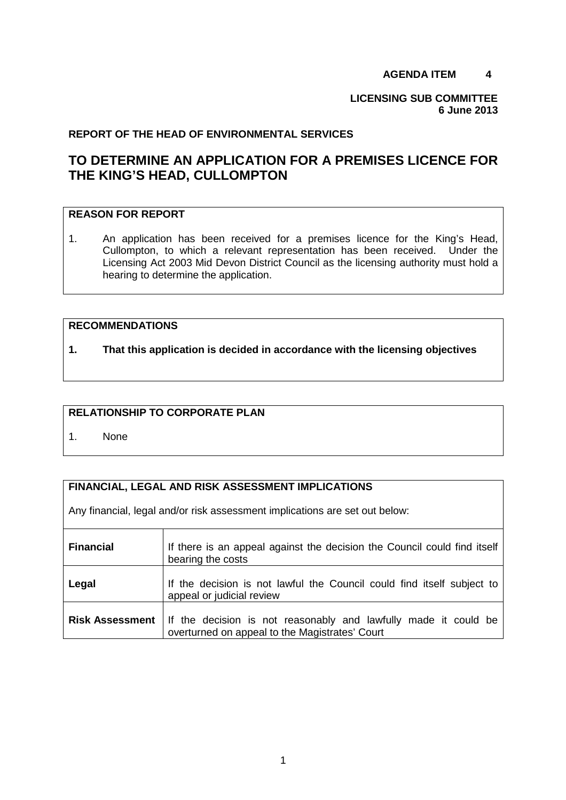### **AGENDA ITEM 4**

**LICENSING SUB COMMITTEE 6 June 2013** 

#### **REPORT OF THE HEAD OF ENVIRONMENTAL SERVICES**

# **TO DETERMINE AN APPLICATION FOR A PREMISES LICENCE FOR THE KING'S HEAD, CULLOMPTON**

# **REASON FOR REPORT**

1. An application has been received for a premises licence for the King's Head, Cullompton, to which a relevant representation has been received. Under the Licensing Act 2003 Mid Devon District Council as the licensing authority must hold a hearing to determine the application.

#### **RECOMMENDATIONS**

**1. That this application is decided in accordance with the licensing objectives** 

# **RELATIONSHIP TO CORPORATE PLAN**

1. None

#### **FINANCIAL, LEGAL AND RISK ASSESSMENT IMPLICATIONS**

Any financial, legal and/or risk assessment implications are set out below:

| <b>Financial</b>       | If there is an appeal against the decision the Council could find itself<br>bearing the costs                     |
|------------------------|-------------------------------------------------------------------------------------------------------------------|
| Legal                  | If the decision is not lawful the Council could find itself subject to<br>appeal or judicial review               |
| <b>Risk Assessment</b> | If the decision is not reasonably and lawfully made it could be<br>overturned on appeal to the Magistrates' Court |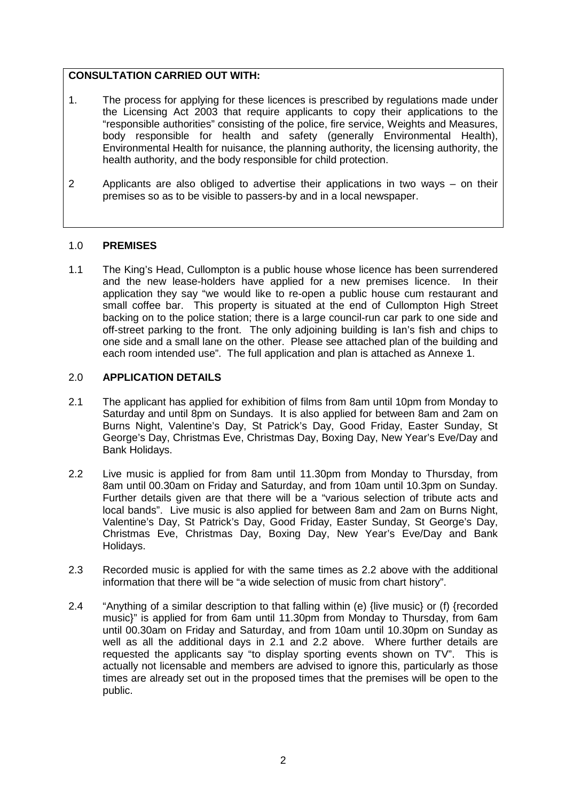### **CONSULTATION CARRIED OUT WITH:**

- 1. The process for applying for these licences is prescribed by regulations made under the Licensing Act 2003 that require applicants to copy their applications to the "responsible authorities" consisting of the police, fire service, Weights and Measures, body responsible for health and safety (generally Environmental Health), Environmental Health for nuisance, the planning authority, the licensing authority, the health authority, and the body responsible for child protection.
- 2 Applicants are also obliged to advertise their applications in two ways on their premises so as to be visible to passers-by and in a local newspaper.

#### 1.0 **PREMISES**

1.1 The King's Head, Cullompton is a public house whose licence has been surrendered and the new lease-holders have applied for a new premises licence. In their application they say "we would like to re-open a public house cum restaurant and small coffee bar. This property is situated at the end of Cullompton High Street backing on to the police station; there is a large council-run car park to one side and off-street parking to the front. The only adjoining building is Ian's fish and chips to one side and a small lane on the other. Please see attached plan of the building and each room intended use". The full application and plan is attached as Annexe 1.

### 2.0 **APPLICATION DETAILS**

- 2.1 The applicant has applied for exhibition of films from 8am until 10pm from Monday to Saturday and until 8pm on Sundays. It is also applied for between 8am and 2am on Burns Night, Valentine's Day, St Patrick's Day, Good Friday, Easter Sunday, St George's Day, Christmas Eve, Christmas Day, Boxing Day, New Year's Eve/Day and Bank Holidays.
- 2.2 Live music is applied for from 8am until 11.30pm from Monday to Thursday, from 8am until 00.30am on Friday and Saturday, and from 10am until 10.3pm on Sunday. Further details given are that there will be a "various selection of tribute acts and local bands". Live music is also applied for between 8am and 2am on Burns Night, Valentine's Day, St Patrick's Day, Good Friday, Easter Sunday, St George's Day, Christmas Eve, Christmas Day, Boxing Day, New Year's Eve/Day and Bank Holidays.
- 2.3 Recorded music is applied for with the same times as 2.2 above with the additional information that there will be "a wide selection of music from chart history".
- 2.4 "Anything of a similar description to that falling within (e) {live music} or (f) {recorded music}" is applied for from 6am until 11.30pm from Monday to Thursday, from 6am until 00.30am on Friday and Saturday, and from 10am until 10.30pm on Sunday as well as all the additional days in 2.1 and 2.2 above. Where further details are requested the applicants say "to display sporting events shown on TV". This is actually not licensable and members are advised to ignore this, particularly as those times are already set out in the proposed times that the premises will be open to the public.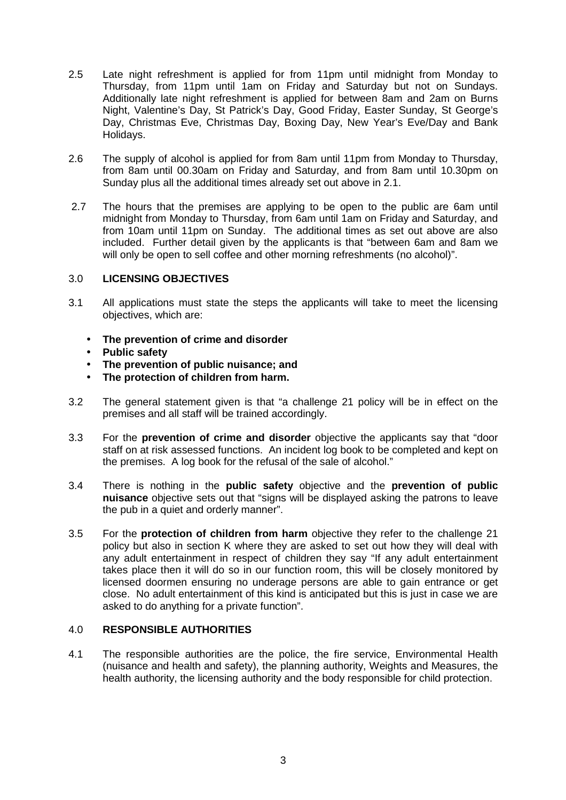- 2.5 Late night refreshment is applied for from 11pm until midnight from Monday to Thursday, from 11pm until 1am on Friday and Saturday but not on Sundays. Additionally late night refreshment is applied for between 8am and 2am on Burns Night, Valentine's Day, St Patrick's Day, Good Friday, Easter Sunday, St George's Day, Christmas Eve, Christmas Day, Boxing Day, New Year's Eve/Day and Bank Holidays.
- 2.6 The supply of alcohol is applied for from 8am until 11pm from Monday to Thursday, from 8am until 00.30am on Friday and Saturday, and from 8am until 10.30pm on Sunday plus all the additional times already set out above in 2.1.
- 2.7 The hours that the premises are applying to be open to the public are 6am until midnight from Monday to Thursday, from 6am until 1am on Friday and Saturday, and from 10am until 11pm on Sunday. The additional times as set out above are also included. Further detail given by the applicants is that "between 6am and 8am we will only be open to sell coffee and other morning refreshments (no alcohol)".

#### 3.0 **LICENSING OBJECTIVES**

- 3.1 All applications must state the steps the applicants will take to meet the licensing objectives, which are:
	- **The prevention of crime and disorder**
	- **Public safety**
	- **The prevention of public nuisance; and**
	- **The protection of children from harm.**
- 3.2 The general statement given is that "a challenge 21 policy will be in effect on the premises and all staff will be trained accordingly.
- 3.3 For the **prevention of crime and disorder** objective the applicants say that "door staff on at risk assessed functions. An incident log book to be completed and kept on the premises. A log book for the refusal of the sale of alcohol."
- 3.4 There is nothing in the **public safety** objective and the **prevention of public nuisance** objective sets out that "signs will be displayed asking the patrons to leave the pub in a quiet and orderly manner".
- 3.5 For the **protection of children from harm** objective they refer to the challenge 21 policy but also in section K where they are asked to set out how they will deal with any adult entertainment in respect of children they say "If any adult entertainment takes place then it will do so in our function room, this will be closely monitored by licensed doormen ensuring no underage persons are able to gain entrance or get close. No adult entertainment of this kind is anticipated but this is just in case we are asked to do anything for a private function".

#### 4.0 **RESPONSIBLE AUTHORITIES**

4.1 The responsible authorities are the police, the fire service, Environmental Health (nuisance and health and safety), the planning authority, Weights and Measures, the health authority, the licensing authority and the body responsible for child protection.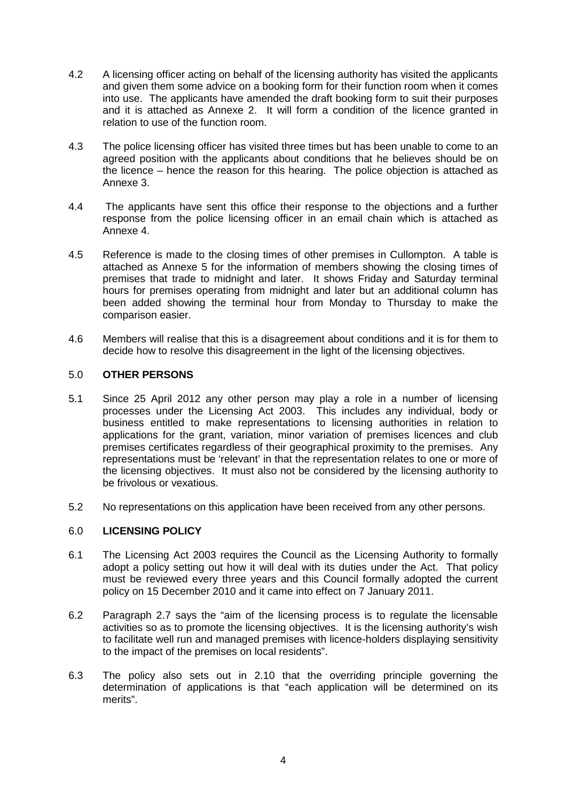- 4.2 A licensing officer acting on behalf of the licensing authority has visited the applicants and given them some advice on a booking form for their function room when it comes into use. The applicants have amended the draft booking form to suit their purposes and it is attached as Annexe 2. It will form a condition of the licence granted in relation to use of the function room.
- 4.3 The police licensing officer has visited three times but has been unable to come to an agreed position with the applicants about conditions that he believes should be on the licence – hence the reason for this hearing. The police objection is attached as Annexe 3.
- 4.4 The applicants have sent this office their response to the objections and a further response from the police licensing officer in an email chain which is attached as Annexe 4.
- 4.5 Reference is made to the closing times of other premises in Cullompton. A table is attached as Annexe 5 for the information of members showing the closing times of premises that trade to midnight and later. It shows Friday and Saturday terminal hours for premises operating from midnight and later but an additional column has been added showing the terminal hour from Monday to Thursday to make the comparison easier.
- 4.6 Members will realise that this is a disagreement about conditions and it is for them to decide how to resolve this disagreement in the light of the licensing objectives.

#### 5.0 **OTHER PERSONS**

- 5.1 Since 25 April 2012 any other person may play a role in a number of licensing processes under the Licensing Act 2003. This includes any individual, body or business entitled to make representations to licensing authorities in relation to applications for the grant, variation, minor variation of premises licences and club premises certificates regardless of their geographical proximity to the premises. Any representations must be 'relevant' in that the representation relates to one or more of the licensing objectives. It must also not be considered by the licensing authority to be frivolous or vexatious.
- 5.2 No representations on this application have been received from any other persons.

#### 6.0 **LICENSING POLICY**

- 6.1 The Licensing Act 2003 requires the Council as the Licensing Authority to formally adopt a policy setting out how it will deal with its duties under the Act. That policy must be reviewed every three years and this Council formally adopted the current policy on 15 December 2010 and it came into effect on 7 January 2011.
- 6.2 Paragraph 2.7 says the "aim of the licensing process is to regulate the licensable activities so as to promote the licensing objectives. It is the licensing authority's wish to facilitate well run and managed premises with licence-holders displaying sensitivity to the impact of the premises on local residents".
- 6.3 The policy also sets out in 2.10 that the overriding principle governing the determination of applications is that "each application will be determined on its merits".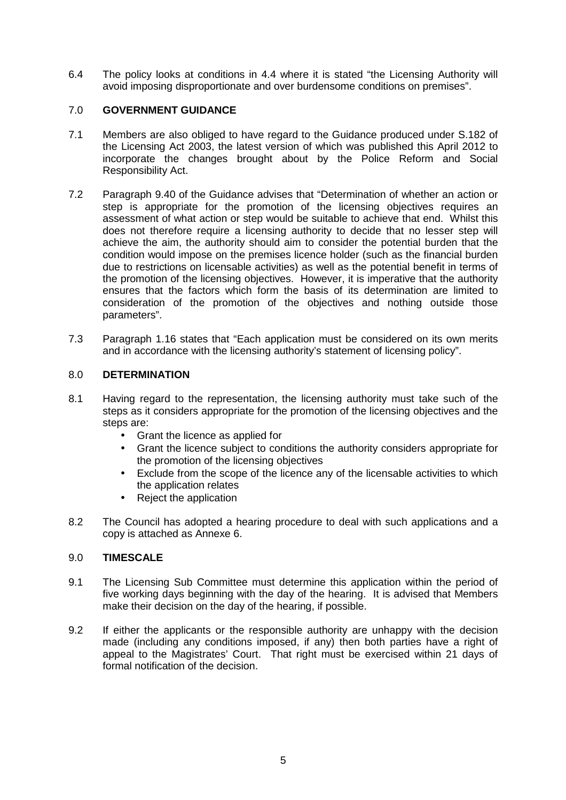6.4 The policy looks at conditions in 4.4 where it is stated "the Licensing Authority will avoid imposing disproportionate and over burdensome conditions on premises".

#### 7.0 **GOVERNMENT GUIDANCE**

- 7.1 Members are also obliged to have regard to the Guidance produced under S.182 of the Licensing Act 2003, the latest version of which was published this April 2012 to incorporate the changes brought about by the Police Reform and Social Responsibility Act.
- 7.2 Paragraph 9.40 of the Guidance advises that "Determination of whether an action or step is appropriate for the promotion of the licensing objectives requires an assessment of what action or step would be suitable to achieve that end. Whilst this does not therefore require a licensing authority to decide that no lesser step will achieve the aim, the authority should aim to consider the potential burden that the condition would impose on the premises licence holder (such as the financial burden due to restrictions on licensable activities) as well as the potential benefit in terms of the promotion of the licensing objectives. However, it is imperative that the authority ensures that the factors which form the basis of its determination are limited to consideration of the promotion of the objectives and nothing outside those parameters".
- 7.3 Paragraph 1.16 states that "Each application must be considered on its own merits and in accordance with the licensing authority's statement of licensing policy".

#### 8.0 **DETERMINATION**

- 8.1 Having regard to the representation, the licensing authority must take such of the steps as it considers appropriate for the promotion of the licensing objectives and the steps are:
	- Grant the licence as applied for
	- Grant the licence subject to conditions the authority considers appropriate for the promotion of the licensing objectives
	- Exclude from the scope of the licence any of the licensable activities to which the application relates
	- Reject the application
- 8.2 The Council has adopted a hearing procedure to deal with such applications and a copy is attached as Annexe 6.

#### 9.0 **TIMESCALE**

- 9.1 The Licensing Sub Committee must determine this application within the period of five working days beginning with the day of the hearing. It is advised that Members make their decision on the day of the hearing, if possible.
- 9.2 If either the applicants or the responsible authority are unhappy with the decision made (including any conditions imposed, if any) then both parties have a right of appeal to the Magistrates' Court. That right must be exercised within 21 days of formal notification of the decision.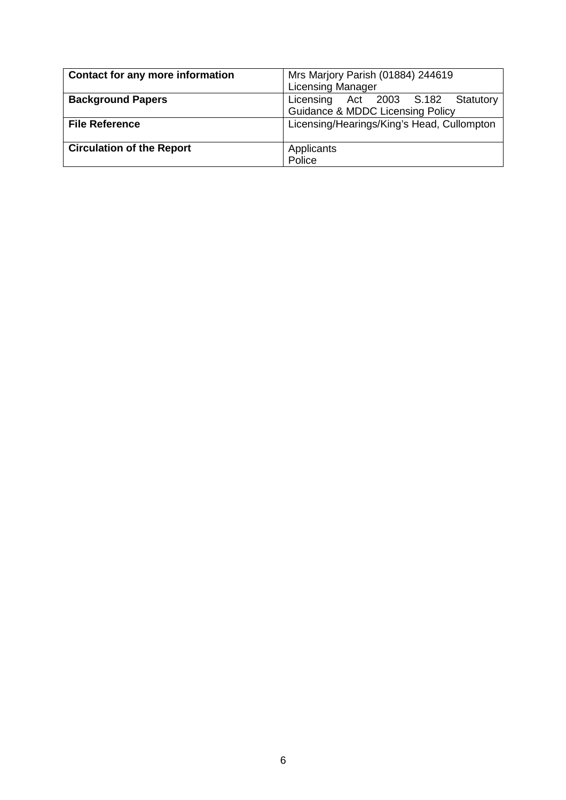| <b>Contact for any more information</b> | Mrs Marjory Parish (01884) 244619           |  |  |  |
|-----------------------------------------|---------------------------------------------|--|--|--|
|                                         | <b>Licensing Manager</b>                    |  |  |  |
| <b>Background Papers</b>                | Licensing Act 2003 S.182<br>Statutory       |  |  |  |
|                                         | <b>Guidance &amp; MDDC Licensing Policy</b> |  |  |  |
| <b>File Reference</b>                   | Licensing/Hearings/King's Head, Cullompton  |  |  |  |
|                                         |                                             |  |  |  |
| <b>Circulation of the Report</b>        | Applicants                                  |  |  |  |
|                                         | Police                                      |  |  |  |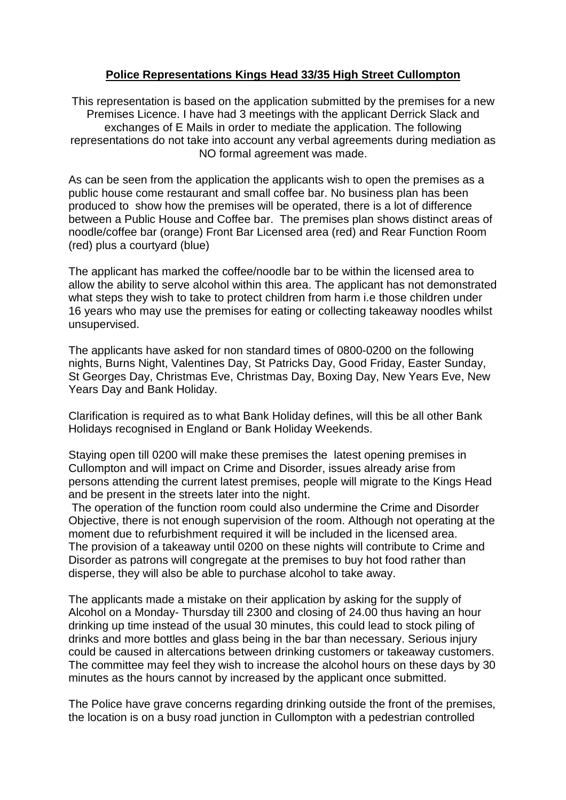# **Police Representations Kings Head 33/35 High Street Cullompton**

This representation is based on the application submitted by the premises for a new Premises Licence. I have had 3 meetings with the applicant Derrick Slack and exchanges of E Mails in order to mediate the application. The following representations do not take into account any verbal agreements during mediation as NO formal agreement was made.

As can be seen from the application the applicants wish to open the premises as a public house come restaurant and small coffee bar. No business plan has been produced to show how the premises will be operated, there is a lot of difference between a Public House and Coffee bar. The premises plan shows distinct areas of noodle/coffee bar (orange) Front Bar Licensed area (red) and Rear Function Room (red) plus a courtyard (blue)

The applicant has marked the coffee/noodle bar to be within the licensed area to allow the ability to serve alcohol within this area. The applicant has not demonstrated what steps they wish to take to protect children from harm i.e those children under 16 years who may use the premises for eating or collecting takeaway noodles whilst unsupervised.

The applicants have asked for non standard times of 0800-0200 on the following nights, Burns Night, Valentines Day, St Patricks Day, Good Friday, Easter Sunday, St Georges Day, Christmas Eve, Christmas Day, Boxing Day, New Years Eve, New Years Day and Bank Holiday.

Clarification is required as to what Bank Holiday defines, will this be all other Bank Holidays recognised in England or Bank Holiday Weekends.

Staying open till 0200 will make these premises the latest opening premises in Cullompton and will impact on Crime and Disorder, issues already arise from persons attending the current latest premises, people will migrate to the Kings Head and be present in the streets later into the night.

 The operation of the function room could also undermine the Crime and Disorder Objective, there is not enough supervision of the room. Although not operating at the moment due to refurbishment required it will be included in the licensed area. The provision of a takeaway until 0200 on these nights will contribute to Crime and Disorder as patrons will congregate at the premises to buy hot food rather than disperse, they will also be able to purchase alcohol to take away.

The applicants made a mistake on their application by asking for the supply of Alcohol on a Monday- Thursday till 2300 and closing of 24.00 thus having an hour drinking up time instead of the usual 30 minutes, this could lead to stock piling of drinks and more bottles and glass being in the bar than necessary. Serious injury could be caused in altercations between drinking customers or takeaway customers. The committee may feel they wish to increase the alcohol hours on these days by 30 minutes as the hours cannot by increased by the applicant once submitted.

The Police have grave concerns regarding drinking outside the front of the premises, the location is on a busy road junction in Cullompton with a pedestrian controlled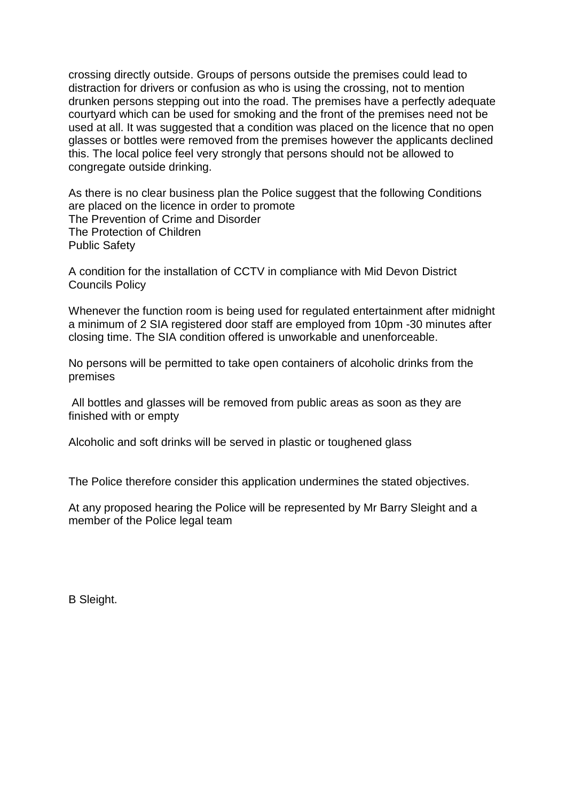crossing directly outside. Groups of persons outside the premises could lead to distraction for drivers or confusion as who is using the crossing, not to mention drunken persons stepping out into the road. The premises have a perfectly adequate courtyard which can be used for smoking and the front of the premises need not be used at all. It was suggested that a condition was placed on the licence that no open glasses or bottles were removed from the premises however the applicants declined this. The local police feel very strongly that persons should not be allowed to congregate outside drinking.

As there is no clear business plan the Police suggest that the following Conditions are placed on the licence in order to promote The Prevention of Crime and Disorder The Protection of Children Public Safety

A condition for the installation of CCTV in compliance with Mid Devon District Councils Policy

Whenever the function room is being used for regulated entertainment after midnight a minimum of 2 SIA registered door staff are employed from 10pm -30 minutes after closing time. The SIA condition offered is unworkable and unenforceable.

No persons will be permitted to take open containers of alcoholic drinks from the premises

 All bottles and glasses will be removed from public areas as soon as they are finished with or empty

Alcoholic and soft drinks will be served in plastic or toughened glass

The Police therefore consider this application undermines the stated objectives.

At any proposed hearing the Police will be represented by Mr Barry Sleight and a member of the Police legal team

B Sleight.